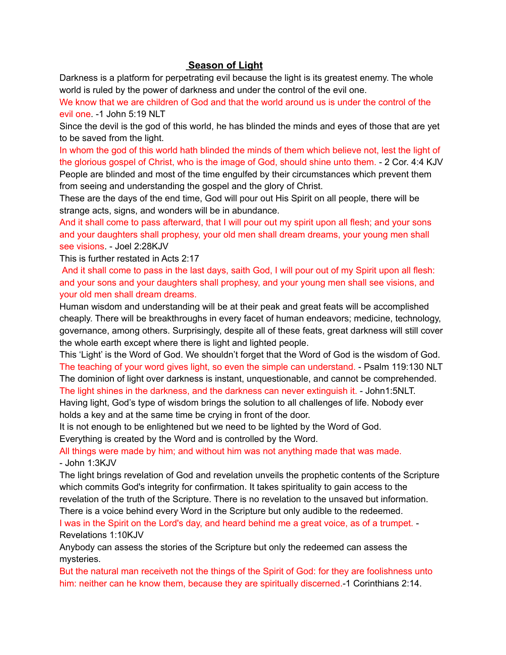## **Season of Light**

Darkness is a platform for perpetrating evil because the light is its greatest enemy. The whole world is ruled by the power of darkness and under the control of the evil one.

We know that we are children of God and that the world around us is under the control of the evil one. -1 John 5:19 NLT

Since the devil is the god of this world, he has blinded the minds and eyes of those that are yet to be saved from the light.

In whom the god of this world hath blinded the minds of them which believe not, lest the light of the glorious gospel of Christ, who is the image of God, should shine unto them. - 2 Cor. 4:4 KJV People are blinded and most of the time engulfed by their circumstances which prevent them from seeing and understanding the gospel and the glory of Christ.

These are the days of the end time, God will pour out His Spirit on all people, there will be strange acts, signs, and wonders will be in abundance.

And it shall come to pass afterward, that I will pour out my spirit upon all flesh; and your sons and your daughters shall prophesy, your old men shall dream dreams, your young men shall see visions. - Joel 2:28KJV

This is further restated in Acts 2:17

And it shall come to pass in the last days, saith God, I will pour out of my Spirit upon all flesh: and your sons and your daughters shall prophesy, and your young men shall see visions, and your old men shall dream dreams.

Human wisdom and understanding will be at their peak and great feats will be accomplished cheaply. There will be breakthroughs in every facet of human endeavors; medicine, technology, governance, among others. Surprisingly, despite all of these feats, great darkness will still cover the whole earth except where there is light and lighted people.

This 'Light' is the Word of God. We shouldn't forget that the Word of God is the wisdom of God. The teaching of your word gives light, so even the simple can understand. - Psalm 119:130 NLT The dominion of light over darkness is instant, unquestionable, and cannot be comprehended. The light shines in the darkness, and the darkness can never extinguish it. - John1:5NLT.

Having light, God's type of wisdom brings the solution to all challenges of life. Nobody ever holds a key and at the same time be crying in front of the door.

It is not enough to be enlightened but we need to be lighted by the Word of God.

Everything is created by the Word and is controlled by the Word.

All things were made by him; and without him was not anything made that was made. - John 1:3KJV

The light brings revelation of God and revelation unveils the prophetic contents of the Scripture which commits God's integrity for confirmation. It takes spirituality to gain access to the revelation of the truth of the Scripture. There is no revelation to the unsaved but information. There is a voice behind every Word in the Scripture but only audible to the redeemed.

I was in the Spirit on the Lord's day, and heard behind me a great voice, as of a trumpet. - Revelations 1:10KJV

Anybody can assess the stories of the Scripture but only the redeemed can assess the mysteries.

But the natural man receiveth not the things of the Spirit of God: for they are foolishness unto him: neither can he know them, because they are spiritually discerned.-1 Corinthians 2:14.